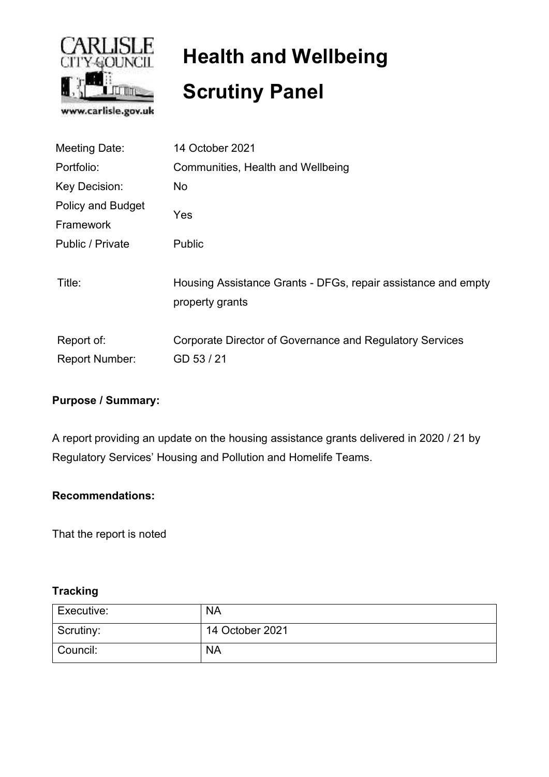

# **Health and Wellbeing Scrutiny Panel**

| <b>Meeting Date:</b>     | 14 October 2021                                               |  |  |
|--------------------------|---------------------------------------------------------------|--|--|
| Portfolio:               | Communities, Health and Wellbeing                             |  |  |
| Key Decision:            | No                                                            |  |  |
| <b>Policy and Budget</b> |                                                               |  |  |
| Framework                | Yes                                                           |  |  |
| Public / Private         | <b>Public</b>                                                 |  |  |
|                          |                                                               |  |  |
| Title:                   | Housing Assistance Grants - DFGs, repair assistance and empty |  |  |
|                          | property grants                                               |  |  |
|                          |                                                               |  |  |
| Report of:               | Corporate Director of Governance and Regulatory Services      |  |  |
| <b>Report Number:</b>    | GD 53 / 21                                                    |  |  |
|                          |                                                               |  |  |

# **Purpose / Summary:**

A report providing an update on the housing assistance grants delivered in 2020 / 21 by Regulatory Services' Housing and Pollution and Homelife Teams.

### **Recommendations:**

That the report is noted

### **Tracking**

| Executive: | <b>NA</b>       |
|------------|-----------------|
| Scrutiny:  | 14 October 2021 |
| Council:   | <b>NA</b>       |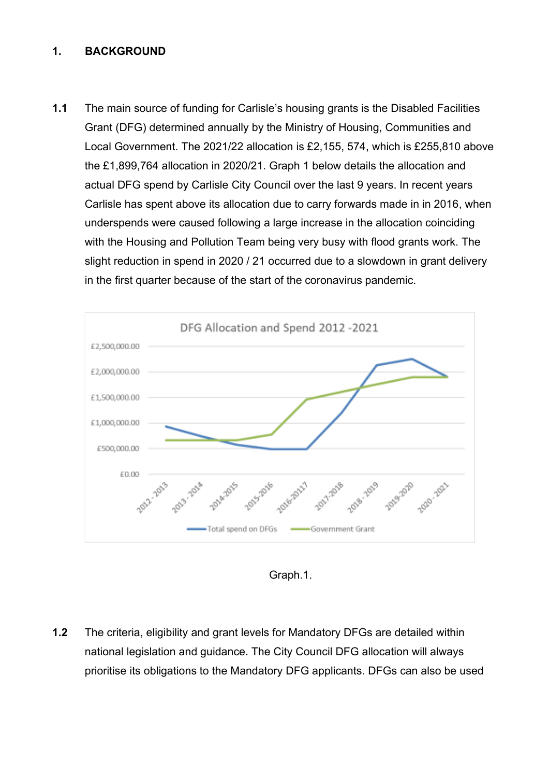#### **1. BACKGROUND**

**1.1** The main source of funding for Carlisle's housing grants is the Disabled Facilities Grant (DFG) determined annually by the Ministry of Housing, Communities and Local Government. The 2021/22 allocation is £2,155, 574, which is £255,810 above the £1,899,764 allocation in 2020/21. Graph 1 below details the allocation and actual DFG spend by Carlisle City Council over the last 9 years. In recent years Carlisle has spent above its allocation due to carry forwards made in in 2016, when underspends were caused following a large increase in the allocation coinciding with the Housing and Pollution Team being very busy with flood grants work. The slight reduction in spend in 2020 / 21 occurred due to a slowdown in grant delivery in the first quarter because of the start of the coronavirus pandemic.



Graph.1.

**1.2** The criteria, eligibility and grant levels for Mandatory DFGs are detailed within national legislation and guidance. The City Council DFG allocation will always prioritise its obligations to the Mandatory DFG applicants. DFGs can also be used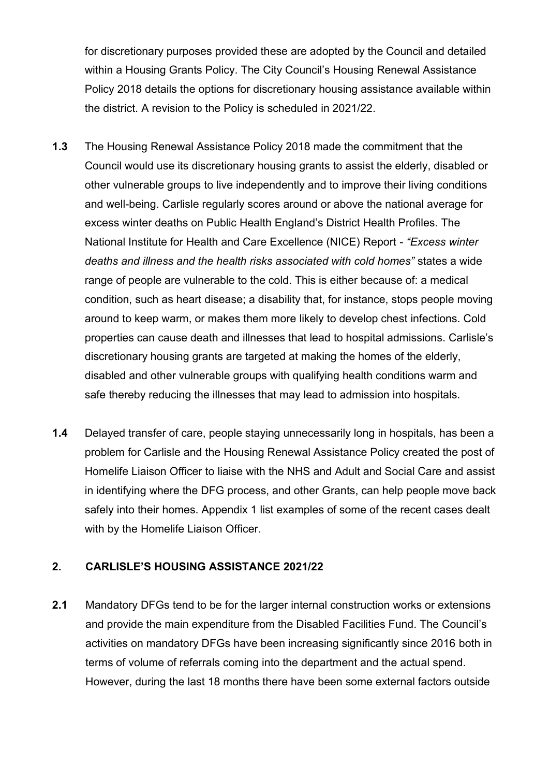for discretionary purposes provided these are adopted by the Council and detailed within a Housing Grants Policy. The City Council's Housing Renewal Assistance Policy 2018 details the options for discretionary housing assistance available within the district. A revision to the Policy is scheduled in 2021/22.

- **1.3** The Housing Renewal Assistance Policy 2018 made the commitment that the Council would use its discretionary housing grants to assist the elderly, disabled or other vulnerable groups to live independently and to improve their living conditions and well-being. Carlisle regularly scores around or above the national average for excess winter deaths on Public Health England's District Health Profiles. The National Institute for Health and Care Excellence (NICE) Report - *"Excess winter deaths and illness and the health risks associated with cold homes"* states a wide range of people are vulnerable to the cold. This is either because of: a medical condition, such as heart disease; a disability that, for instance, stops people moving around to keep warm, or makes them more likely to develop chest infections. Cold properties can cause death and illnesses that lead to hospital admissions. Carlisle's discretionary housing grants are targeted at making the homes of the elderly, disabled and other vulnerable groups with qualifying health conditions warm and safe thereby reducing the illnesses that may lead to admission into hospitals.
- **1.4** Delayed transfer of care, people staying unnecessarily long in hospitals, has been a problem for Carlisle and the Housing Renewal Assistance Policy created the post of Homelife Liaison Officer to liaise with the NHS and Adult and Social Care and assist in identifying where the DFG process, and other Grants, can help people move back safely into their homes. Appendix 1 list examples of some of the recent cases dealt with by the Homelife Liaison Officer.

#### **2. CARLISLE'S HOUSING ASSISTANCE 2021/22**

**2.1** Mandatory DFGs tend to be for the larger internal construction works or extensions and provide the main expenditure from the Disabled Facilities Fund. The Council's activities on mandatory DFGs have been increasing significantly since 2016 both in terms of volume of referrals coming into the department and the actual spend. However, during the last 18 months there have been some external factors outside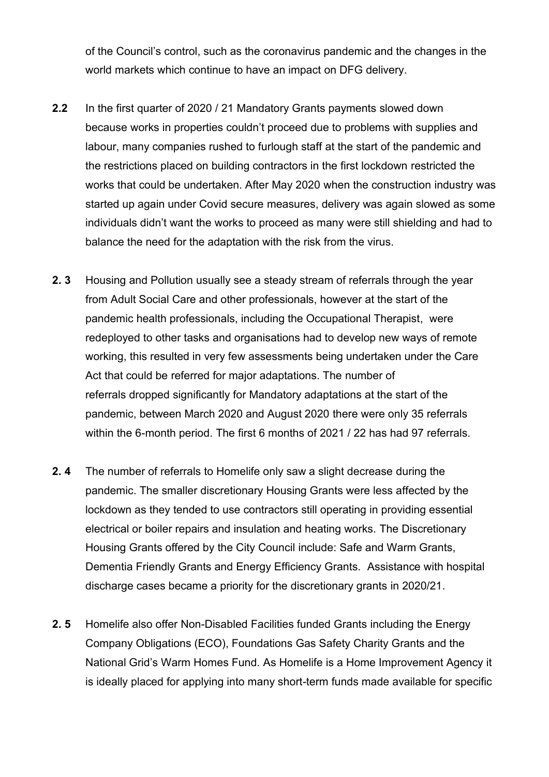of the Council's control, such as the coronavirus pandemic and the changes in the world markets which continue to have an impact on DFG delivery.

- **2.2** In the first quarter of 2020 / 21 Mandatory Grants payments slowed down because works in properties couldn't proceed due to problems with supplies and labour, many companies rushed to furlough staff at the start of the pandemic and the restrictions placed on building contractors in the first lockdown restricted the works that could be undertaken. After May 2020 when the construction industry was started up again under Covid secure measures, delivery was again slowed as some individuals didn't want the works to proceed as many were still shielding and had to balance the need for the adaptation with the risk from the virus.
- **2. 3** Housing and Pollution usually see a steady stream of referrals through the year from Adult Social Care and other professionals, however at the start of the pandemic health professionals, including the Occupational Therapist, were redeployed to other tasks and organisations had to develop new ways of remote working, this resulted in very few assessments being undertaken under the Care Act that could be referred for major adaptations. The number of referrals dropped significantly for Mandatory adaptations at the start of the pandemic, between March 2020 and August 2020 there were only 35 referrals within the 6-month period. The first 6 months of 2021 / 22 has had 97 referrals.
- **2. 4** The number of referrals to Homelife only saw a slight decrease during the pandemic. The smaller discretionary Housing Grants were less affected by the lockdown as they tended to use contractors still operating in providing essential electrical or boiler repairs and insulation and heating works. The Discretionary Housing Grants offered by the City Council include: Safe and Warm Grants, Dementia Friendly Grants and Energy Efficiency Grants. Assistance with hospital discharge cases became a priority for the discretionary grants in 2020/21.
- **2. 5** Homelife also offer Non-Disabled Facilities funded Grants including the Energy Company Obligations (ECO), Foundations Gas Safety Charity Grants and the National Grid's Warm Homes Fund. As Homelife is a Home Improvement Agency it is ideally placed for applying into many short-term funds made available for specific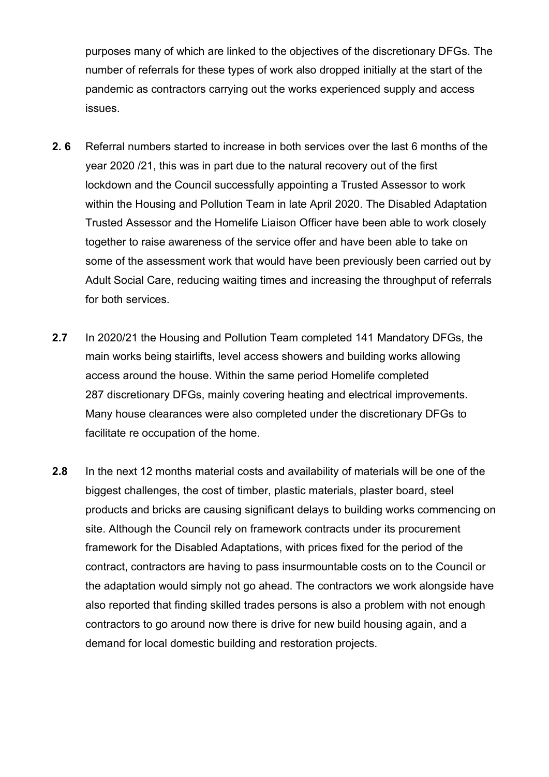purposes many of which are linked to the objectives of the discretionary DFGs. The number of referrals for these types of work also dropped initially at the start of the pandemic as contractors carrying out the works experienced supply and access issues.

- **2. 6** Referral numbers started to increase in both services over the last 6 months of the year 2020 /21, this was in part due to the natural recovery out of the first lockdown and the Council successfully appointing a Trusted Assessor to work within the Housing and Pollution Team in late April 2020. The Disabled Adaptation Trusted Assessor and the Homelife Liaison Officer have been able to work closely together to raise awareness of the service offer and have been able to take on some of the assessment work that would have been previously been carried out by Adult Social Care, reducing waiting times and increasing the throughput of referrals for both services.
- **2.7** In 2020/21 the Housing and Pollution Team completed 141 Mandatory DFGs, the main works being stairlifts, level access showers and building works allowing access around the house. Within the same period Homelife completed 287 discretionary DFGs, mainly covering heating and electrical improvements. Many house clearances were also completed under the discretionary DFGs to facilitate re occupation of the home.
- **2.8** In the next 12 months material costs and availability of materials will be one of the biggest challenges, the cost of timber, plastic materials, plaster board, steel products and bricks are causing significant delays to building works commencing on site. Although the Council rely on framework contracts under its procurement framework for the Disabled Adaptations, with prices fixed for the period of the contract, contractors are having to pass insurmountable costs on to the Council or the adaptation would simply not go ahead. The contractors we work alongside have also reported that finding skilled trades persons is also a problem with not enough contractors to go around now there is drive for new build housing again, and a demand for local domestic building and restoration projects.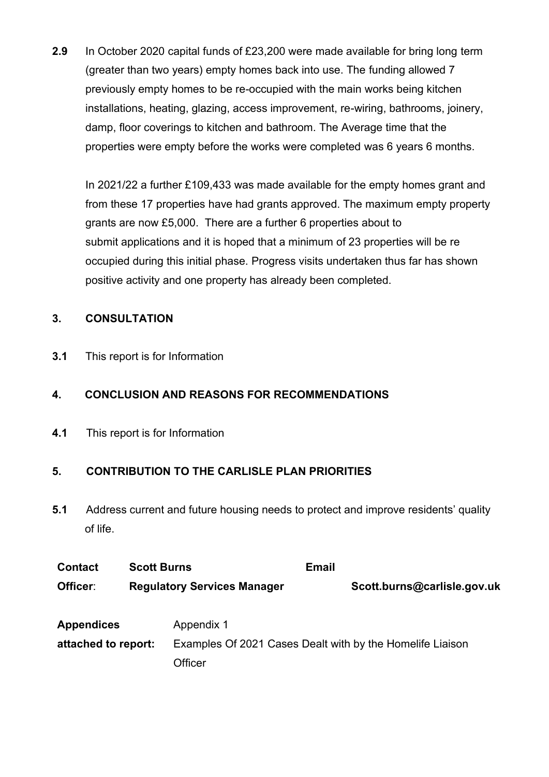**2.9** In October 2020 capital funds of £23,200 were made available for bring long term (greater than two years) empty homes back into use. The funding allowed 7 previously empty homes to be re-occupied with the main works being kitchen installations, heating, glazing, access improvement, re-wiring, bathrooms, joinery, damp, floor coverings to kitchen and bathroom. The Average time that the properties were empty before the works were completed was 6 years 6 months.

In 2021/22 a further £109,433 was made available for the empty homes grant and from these 17 properties have had grants approved. The maximum empty property grants are now £5,000. There are a further 6 properties about to submit applications and it is hoped that a minimum of 23 properties will be re occupied during this initial phase. Progress visits undertaken thus far has shown positive activity and one property has already been completed.

## **3. CONSULTATION**

**3.1** This report is for Information

## **4. CONCLUSION AND REASONS FOR RECOMMENDATIONS**

**4.1** This report is for Information

# **5. CONTRIBUTION TO THE CARLISLE PLAN PRIORITIES**

**5.1** Address current and future housing needs to protect and improve residents' quality of life.

| <b>Contact</b>      | <b>Scott Burns</b>                 |                                                           | <b>Email</b> |                             |  |
|---------------------|------------------------------------|-----------------------------------------------------------|--------------|-----------------------------|--|
| Officer:            | <b>Regulatory Services Manager</b> |                                                           |              | Scott.burns@carlisle.gov.uk |  |
| <b>Appendices</b>   |                                    | Appendix 1                                                |              |                             |  |
| attached to report: |                                    | Examples Of 2021 Cases Dealt with by the Homelife Liaison |              |                             |  |
|                     |                                    | Officer                                                   |              |                             |  |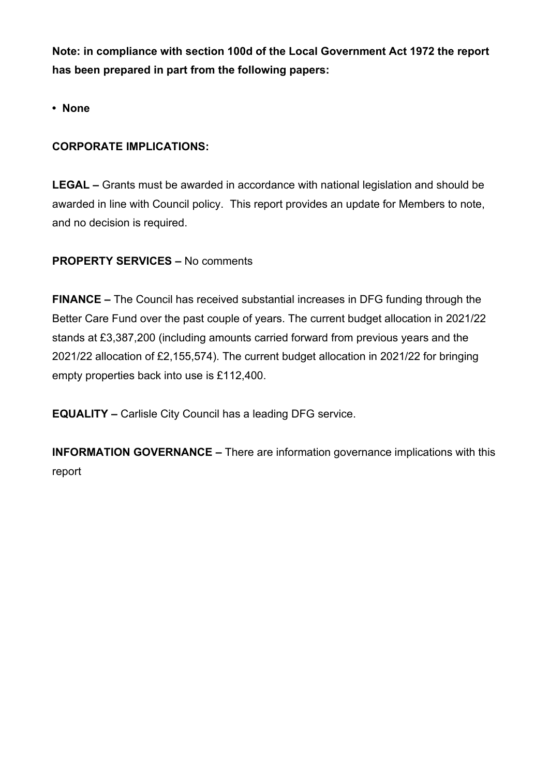**Note: in compliance with section 100d of the Local Government Act 1972 the report has been prepared in part from the following papers:** 

**• None**

## **CORPORATE IMPLICATIONS:**

**LEGAL –** Grants must be awarded in accordance with national legislation and should be awarded in line with Council policy. This report provides an update for Members to note, and no decision is required.

### **PROPERTY SERVICES –** No comments

**FINANCE –** The Council has received substantial increases in DFG funding through the Better Care Fund over the past couple of years. The current budget allocation in 2021/22 stands at £3,387,200 (including amounts carried forward from previous years and the 2021/22 allocation of £2,155,574). The current budget allocation in 2021/22 for bringing empty properties back into use is £112,400.

**EQUALITY –** Carlisle City Council has a leading DFG service.

**INFORMATION GOVERNANCE –** There are information governance implications with this report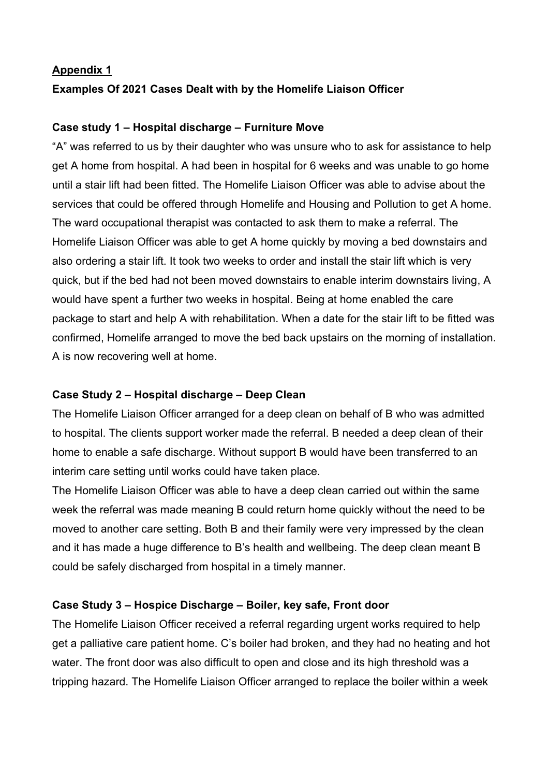#### **Appendix 1**

## **Examples Of 2021 Cases Dealt with by the Homelife Liaison Officer**

#### **Case study 1 – Hospital discharge – Furniture Move**

"A" was referred to us by their daughter who was unsure who to ask for assistance to help get A home from hospital. A had been in hospital for 6 weeks and was unable to go home until a stair lift had been fitted. The Homelife Liaison Officer was able to advise about the services that could be offered through Homelife and Housing and Pollution to get A home. The ward occupational therapist was contacted to ask them to make a referral. The Homelife Liaison Officer was able to get A home quickly by moving a bed downstairs and also ordering a stair lift. It took two weeks to order and install the stair lift which is very quick, but if the bed had not been moved downstairs to enable interim downstairs living, A would have spent a further two weeks in hospital. Being at home enabled the care package to start and help A with rehabilitation. When a date for the stair lift to be fitted was confirmed, Homelife arranged to move the bed back upstairs on the morning of installation. A is now recovering well at home.

#### **Case Study 2 – Hospital discharge – Deep Clean**

The Homelife Liaison Officer arranged for a deep clean on behalf of B who was admitted to hospital. The clients support worker made the referral. B needed a deep clean of their home to enable a safe discharge. Without support B would have been transferred to an interim care setting until works could have taken place.

The Homelife Liaison Officer was able to have a deep clean carried out within the same week the referral was made meaning B could return home quickly without the need to be moved to another care setting. Both B and their family were very impressed by the clean and it has made a huge difference to B's health and wellbeing. The deep clean meant B could be safely discharged from hospital in a timely manner.

### **Case Study 3 – Hospice Discharge – Boiler, key safe, Front door**

The Homelife Liaison Officer received a referral regarding urgent works required to help get a palliative care patient home. C's boiler had broken, and they had no heating and hot water. The front door was also difficult to open and close and its high threshold was a tripping hazard. The Homelife Liaison Officer arranged to replace the boiler within a week